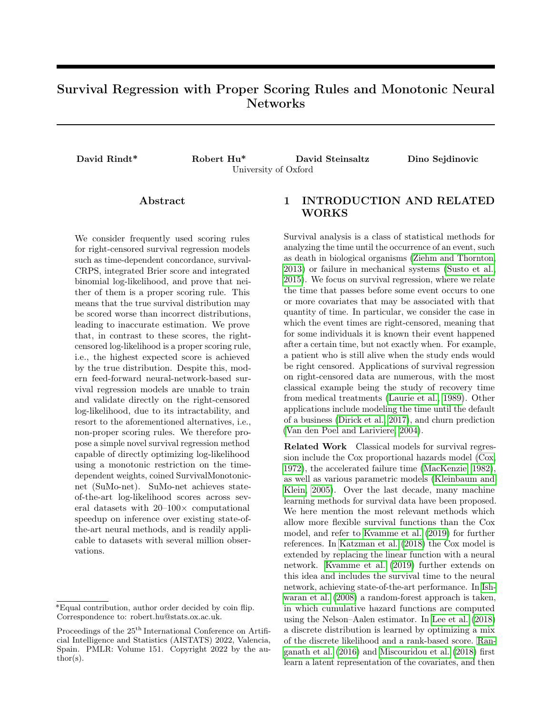# Survival Regression with Proper Scoring Rules and Monotonic Neural Networks

David Rindt\* Robert Hu\* David Steinsaltz Dino Sejdinovic University of Oxford

### Abstract

We consider frequently used scoring rules for right-censored survival regression models such as time-dependent concordance, survival-CRPS, integrated Brier score and integrated binomial log-likelihood, and prove that neither of them is a proper scoring rule. This means that the true survival distribution may be scored worse than incorrect distributions, leading to inaccurate estimation. We prove that, in contrast to these scores, the rightcensored log-likelihood is a proper scoring rule, i.e., the highest expected score is achieved by the true distribution. Despite this, modern feed-forward neural-network-based survival regression models are unable to train and validate directly on the right-censored log-likelihood, due to its intractability, and resort to the aforementioned alternatives, i.e., non-proper scoring rules. We therefore propose a simple novel survival regression method capable of directly optimizing log-likelihood using a monotonic restriction on the timedependent weights, coined SurvivalMonotonicnet (SuMo-net). SuMo-net achieves stateof-the-art log-likelihood scores across several datasets with 20–100× computational speedup on inference over existing state-ofthe-art neural methods, and is readily applicable to datasets with several million observations.

# 1 INTRODUCTION AND RELATED WORKS

Survival analysis is a class of statistical methods for analyzing the time until the occurrence of an event, such as death in biological organisms [\(Ziehm and Thornton,](#page-10-0) [2013\)](#page-10-0) or failure in mechanical systems [\(Susto et al.,](#page-10-1) [2015\)](#page-10-1). We focus on survival regression, where we relate the time that passes before some event occurs to one or more covariates that may be associated with that quantity of time. In particular, we consider the case in which the event times are right-censored, meaning that for some individuals it is known their event happened after a certain time, but not exactly when. For example, a patient who is still alive when the study ends would be right censored. Applications of survival regression on right-censored data are numerous, with the most classical example being the study of recovery time from medical treatments [\(Laurie et al., 1989\)](#page-10-2). Other applications include modeling the time until the default of a business [\(Dirick et al., 2017\)](#page-9-0), and churn prediction [\(Van den Poel and Lariviere, 2004\)](#page-10-3).

Related Work Classical models for survival regression include the Cox proportional hazards model [\(Cox,](#page-9-1) [1972\)](#page-9-1), the accelerated failure time [\(MacKenzie, 1982\)](#page-10-4), as well as various parametric models [\(Kleinbaum and](#page-10-5) [Klein, 2005\)](#page-10-5). Over the last decade, many machine learning methods for survival data have been proposed. We here mention the most relevant methods which allow more flexible survival functions than the Cox model, and refer to [Kvamme et al.](#page-10-6) [\(2019\)](#page-10-6) for further references. In [Katzman et al.](#page-10-7) [\(2018\)](#page-10-7) the Cox model is extended by replacing the linear function with a neural network. [Kvamme et al.](#page-10-6) [\(2019\)](#page-10-6) further extends on this idea and includes the survival time to the neural network, achieving state-of-the-art performance. In [Ish](#page-9-2)[waran et al.](#page-9-2) [\(2008\)](#page-9-2) a random-forest approach is taken, in which cumulative hazard functions are computed using the Nelson–Aalen estimator. In [Lee et al.](#page-10-8) [\(2018\)](#page-10-8) a discrete distribution is learned by optimizing a mix of the discrete likelihood and a rank-based score. [Ran](#page-10-9)[ganath et al.](#page-10-9) [\(2016\)](#page-10-9) and [Miscouridou et al.](#page-10-10) [\(2018\)](#page-10-10) first learn a latent representation of the covariates, and then

<sup>\*</sup>Equal contribution, author order decided by coin flip. Correspondence to: robert.hu@stats.ox.ac.uk.

Proceedings of the 25<sup>th</sup> International Conference on Artificial Intelligence and Statistics (AISTATS) 2022, Valencia, Spain. PMLR: Volume 151. Copyright 2022 by the author(s).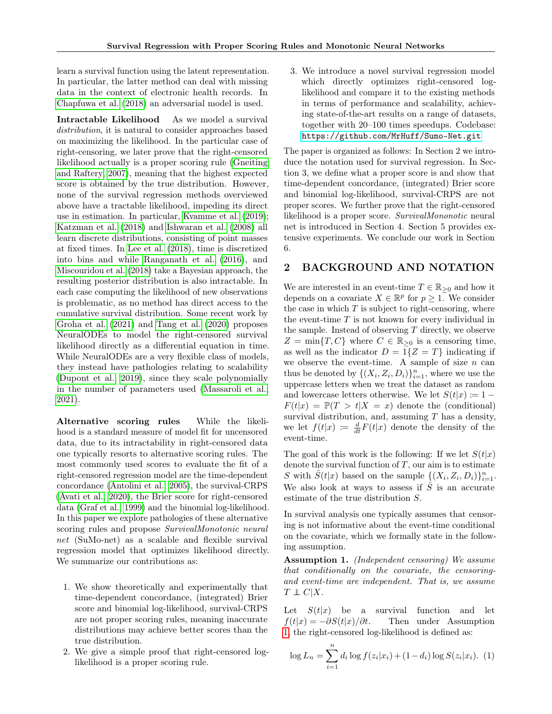learn a survival function using the latent representation. In particular, the latter method can deal with missing data in the context of electronic health records. In [Chapfuwa et al.](#page-9-3) [\(2018\)](#page-9-3) an adversarial model is used.

Intractable Likelihood As we model a survival distribution, it is natural to consider approaches based on maximizing the likelihood. In the particular case of right-censoring, we later prove that the right-censored likelihood actually is a proper scoring rule [\(Gneiting](#page-9-4) [and Raftery, 2007\)](#page-9-4), meaning that the highest expected score is obtained by the true distribution. However, none of the survival regression methods overviewed above have a tractable likelihood, impeding its direct use in estimation. In particular, [Kvamme et al.](#page-10-6) [\(2019\)](#page-10-6); [Katzman et al.](#page-10-7) [\(2018\)](#page-10-7) and [Ishwaran et al.](#page-9-2) [\(2008\)](#page-9-2) all learn discrete distributions, consisting of point masses at fixed times. In [Lee et al.](#page-10-8) [\(2018\)](#page-10-8), time is discretized into bins and while [Ranganath et al.](#page-10-9) [\(2016\)](#page-10-9), and [Miscouridou et al.](#page-10-10) [\(2018\)](#page-10-10) take a Bayesian approach, the resulting posterior distribution is also intractable. In each case computing the likelihood of new observations is problematic, as no method has direct access to the cumulative survival distribution. Some recent work by [Groha et al.](#page-9-5) [\(2021\)](#page-9-5) and [Tang et al.](#page-10-11) [\(2020\)](#page-10-11) proposes NeuralODEs to model the right-censored survival likelihood directly as a differential equation in time. While NeuralODEs are a very flexible class of models, they instead have pathologies relating to scalability [\(Dupont et al., 2019\)](#page-9-6), since they scale polynomially in the number of parameters used [\(Massaroli et al.,](#page-10-12) [2021\)](#page-10-12).

Alternative scoring rules While the likelihood is a standard measure of model fit for uncensored data, due to its intractability in right-censored data one typically resorts to alternative scoring rules. The most commonly used scores to evaluate the fit of a right-censored regression model are the time-dependent concordance [\(Antolini et al., 2005\)](#page-9-7), the survival-CRPS [\(Avati et al., 2020\)](#page-9-8), the Brier score for right-censored data [\(Graf et al., 1999\)](#page-9-9) and the binomial log-likelihood. In this paper we explore pathologies of these alternative scoring rules and propose SurvivalMonotonic neural net (SuMo-net) as a scalable and flexible survival regression model that optimizes likelihood directly. We summarize our contributions as:

- 1. We show theoretically and experimentally that time-dependent concordance, (integrated) Brier score and binomial log-likelihood, survival-CRPS are not proper scoring rules, meaning inaccurate distributions may achieve better scores than the true distribution.
- 2. We give a simple proof that right-censored loglikelihood is a proper scoring rule.

3. We introduce a novel survival regression model which directly optimizes right-censored loglikelihood and compare it to the existing methods in terms of performance and scalability, achieving state-of-the-art results on a range of datasets, together with 20–100 times speedups. Codebase: <https://github.com/MrHuff/Sumo-Net.git>

The paper is organized as follows: In Section 2 we introduce the notation used for survival regression. In Section 3, we define what a proper score is and show that time-dependent concordance, (integrated) Brier score and binomial log-likelihood, survival-CRPS are not proper scores. We further prove that the right-censored likelihood is a proper score. SurvivalMononotic neural net is introduced in Section 4. Section 5 provides extensive experiments. We conclude our work in Section 6.

# 2 BACKGROUND AND NOTATION

We are interested in an event-time  $T \in \mathbb{R}_{\geq 0}$  and how it depends on a covariate  $X \in \mathbb{R}^p$  for  $p \geq 1$ . We consider the case in which  $T$  is subject to right-censoring, where the event-time  $T$  is not known for every individual in the sample. Instead of observing  $T$  directly, we observe  $Z = \min\{T, C\}$  where  $C \in \mathbb{R}_{\geq 0}$  is a censoring time, as well as the indicator  $D = 1\{Z = T\}$  indicating if we observe the event-time. A sample of size  $n$  can thus be denoted by  $\{(X_i, Z_i, D_i)\}_{i=1}^n$ , where we use the uppercase letters when we treat the dataset as random and lowercase letters otherwise. We let  $S(t|x) \coloneqq 1 F(t|x) = \mathbb{P}(T > t | X = x)$  denote the (conditional) survival distribution, and, assuming  $T$  has a density, we let  $f(t|x) := \frac{d}{dt}F(t|x)$  denote the density of the event-time.

The goal of this work is the following: If we let  $S(t|x)$ denote the survival function of  $T$ , our aim is to estimate S with  $\hat{S}(t|x)$  based on the sample  $\{(X_i, Z_i, D_i)\}_{i=1}^n$ . We also look at ways to assess if  $\hat{S}$  is an accurate estimate of the true distribution S.

In survival analysis one typically assumes that censoring is not informative about the event-time conditional on the covariate, which we formally state in the following assumption.

<span id="page-1-0"></span>Assumption 1. (Independent censoring) We assume that conditionally on the covariate, the censoringand event-time are independent. That is, we assume  $T \perp\!\!\!\perp C|X.$ 

Let  $S(t|x)$  be a survival function and let  $f(t|x) = -\partial S(t|x)/\partial t$ . Then under Assumption Then under Assumption [1,](#page-1-0) the right-censored log-likelihood is defined as:

<span id="page-1-1"></span>
$$
\log L_n = \sum_{i=1}^n d_i \log f(z_i | x_i) + (1 - d_i) \log S(z_i | x_i). \tag{1}
$$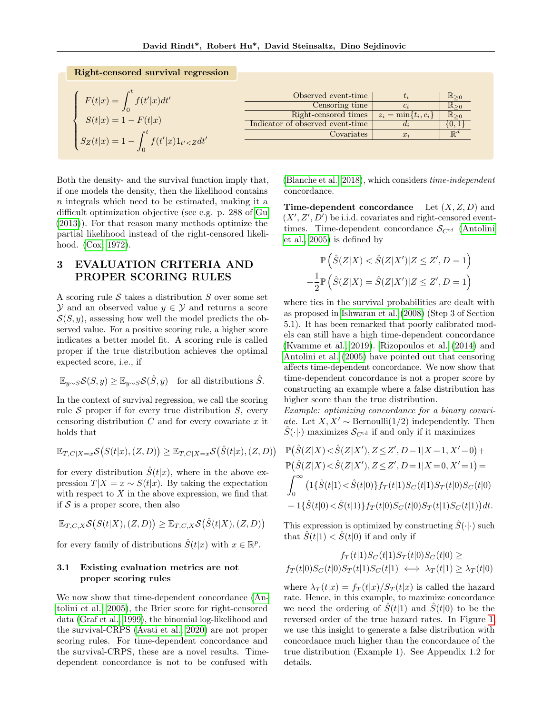| Right-censored survival regression             |                                  |                          |                                  |
|------------------------------------------------|----------------------------------|--------------------------|----------------------------------|
|                                                |                                  |                          |                                  |
|                                                | Observed event-time              |                          | $\mathbb{R}_{\geq 0}$            |
| $F(t x) = \int_0^t f(t' x)dt'$                 | Censoring time                   | $c_i$                    | $\overline{\mathbb{R}_{\geq 0}}$ |
| $S(t x) = 1 - F(t x)$                          | Right-censored times             | $z_i = \min\{t_i, c_i\}$ | $\mathbb{R}_{\geq 0}$            |
|                                                | Indicator of observed event-time | $d_i$                    | $\{0,1$                          |
|                                                | Covariates                       | $x_i$                    | $\mathbb{R}^d$                   |
| $S_Z(t x) = 1 - \int_0^t f(t' x)1_{t' < Z}dt'$ |                                  |                          |                                  |

Both the density- and the survival function imply that, if one models the density, then the likelihood contains n integrals which need to be estimated, making it a difficult optimization objective (see e.g. p. 288 of [Gu](#page-9-10) [\(2013\)](#page-9-10)). For that reason many methods optimize the partial likelihood instead of the right-censored likelihood. [\(Cox, 1972\)](#page-9-1).

# 3 EVALUATION CRITERIA AND PROPER SCORING RULES

A scoring rule S takes a distribution  $S$  over some set  $\mathcal Y$  and an observed value  $y \in \mathcal Y$  and returns a score  $S(S, y)$ , assessing how well the model predicts the observed value. For a positive scoring rule, a higher score indicates a better model fit. A scoring rule is called proper if the true distribution achieves the optimal expected score, i.e., if

$$
\mathbb{E}_{y \sim S} \mathcal{S}(S, y) \ge \mathbb{E}_{y \sim S} \mathcal{S}(\hat{S}, y) \quad \text{for all distributions } \hat{S}.
$$

In the context of survival regression, we call the scoring rule  $S$  proper if for every true distribution  $S$ , every censoring distribution  $C$  and for every covariate  $x$  it holds that

$$
\mathbb{E}_{T,C|X=x} \mathcal{S}\big(S(t|x),(Z,D)\big) \geq \mathbb{E}_{T,C|X=x} \mathcal{S}\big(\hat{S}(t|x),(Z,D)\big)
$$

for every distribution  $\hat{S}(t|x)$ , where in the above expression  $T|X = x \sim S(t|x)$ . By taking the expectation with respect to  $X$  in the above expression, we find that if  $S$  is a proper score, then also

$$
\mathbb{E}_{T,C,X} \mathcal{S}\big(S(t|X),(Z,D)\big) \geq \mathbb{E}_{T,C,X} \mathcal{S}\big(\hat{S}(t|X),(Z,D)\big)
$$

for every family of distributions  $\hat{S}(t|x)$  with  $x \in \mathbb{R}^p$ .

### 3.1 Existing evaluation metrics are not proper scoring rules

We now show that time-dependent concordance [\(An](#page-9-7)[tolini et al., 2005\)](#page-9-7), the Brier score for right-censored data [\(Graf et al., 1999\)](#page-9-9), the binomial log-likelihood and the survival-CRPS [\(Avati et al., 2020\)](#page-9-8) are not proper scoring rules. For time-dependent concordance and the survival-CRPS, these are a novel results. Timedependent concordance is not to be confused with [\(Blanche et al., 2018\)](#page-9-11), which considers time-independent concordance.

**Time-dependent concordance** Let  $(X, Z, D)$  and  $(X', Z', D')$  be i.i.d. covariates and right-censored eventtimes. Time-dependent concordance  $S_{C^{td}}$  [\(Antolini](#page-9-7) [et al., 2005\)](#page-9-7) is defined by

$$
\mathbb{P}\left(\hat{S}(Z|X) < \hat{S}(Z|X')|Z \leq Z', D = 1\right)
$$
\n
$$
+\frac{1}{2}\mathbb{P}\left(\hat{S}(Z|X) = \hat{S}(Z|X')|Z \leq Z', D = 1\right)
$$

where ties in the survival probabilities are dealt with as proposed in [Ishwaran et al.](#page-9-2) [\(2008\)](#page-9-2) (Step 3 of Section 5.1). It has been remarked that poorly calibrated models can still have a high time-dependent concordance [\(Kvamme et al., 2019\)](#page-10-6). [Rizopoulos et al.](#page-10-13) [\(2014\)](#page-10-13) and [Antolini et al.](#page-9-7) [\(2005\)](#page-9-7) have pointed out that censoring affects time-dependent concordance. We now show that time-dependent concordance is not a proper score by constructing an example where a false distribution has higher score than the true distribution.

Example: optimizing concordance for a binary covariate. Let  $X, X' \sim \text{Bernoulli}(1/2)$  independently. Then  $\hat{S}(\cdot|\cdot)$  maximizes  $\mathcal{S}_{C^{td}}$  if and only if it maximizes

$$
\mathbb{P}(\hat{S}(Z|X)<\hat{S}(Z|X'),Z\leq Z',D=1|X=1,X'=0)+\n\mathbb{P}(\hat{S}(Z|X)<\hat{S}(Z|X'),Z\leq Z',D=1|X=0,X'=1)=\n\int_0^\infty \left(1\{\hat{S}(t|1)<\hat{S}(t|0)\}f_T(t|1)S_C(t|1)S_T(t|0)S_C(t|0)\right)\n+1\{\hat{S}(t|0)<\hat{S}(t|1)\}f_T(t|0)S_C(t|0)S_T(t|1)S_C(t|1)\}dt.
$$

This expression is optimized by constructing  $\hat{S}(\cdot|\cdot)$  such that  $\hat{S}(t|1) < \hat{S}(t|0)$  if and only if

$$
f_T(t|1)S_C(t|1)S_T(t|0)S_C(t|0) \ge
$$
  

$$
f_T(t|0)S_C(t|0)S_T(t|1)S_C(t|1) \iff \lambda_T(t|1) \ge \lambda_T(t|0)
$$

where  $\lambda_T(t|x) = f_T(t|x)/S_T(t|x)$  is called the hazard rate. Hence, in this example, to maximize concordance we need the ordering of  $\hat{S}(t|1)$  and  $\hat{S}(t|0)$  to be the reversed order of the true hazard rates. In Figure [1,](#page-3-0) we use this insight to generate a false distribution with concordance much higher than the concordance of the true distribution (Example 1). See Appendix 1.2 for details.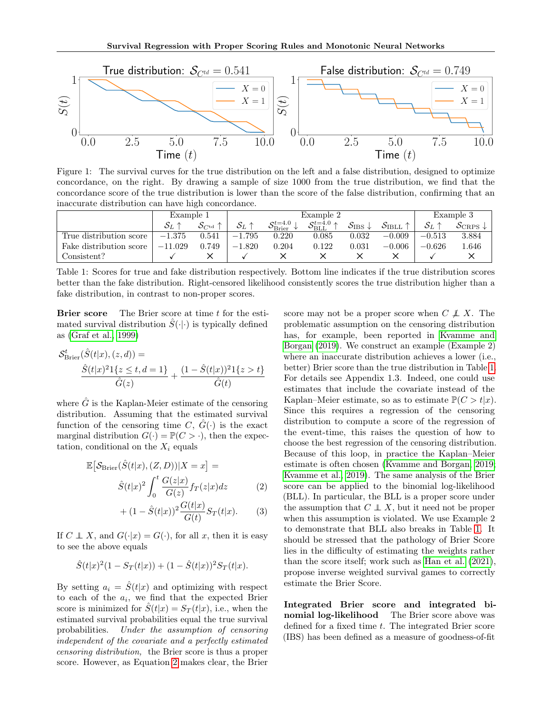<span id="page-3-0"></span>

Figure 1: The survival curves for the true distribution on the left and a false distribution, designed to optimize concordance, on the right. By drawing a sample of size 1000 from the true distribution, we find that the concordance score of the true distribution is lower than the score of the false distribution, confirming that an inaccurate distribution can have high concordance.

<span id="page-3-2"></span>

|                         | Example 1      |                                 | Example 2      |                                      |                                            |                                      |                             |              | Example 3                       |
|-------------------------|----------------|---------------------------------|----------------|--------------------------------------|--------------------------------------------|--------------------------------------|-----------------------------|--------------|---------------------------------|
|                         | ${\cal S}_{L}$ | $\mathcal{S}_{C^{\mathrm{td}}}$ | $S_L \uparrow$ | $\mathcal{S}_{\text{Brier}}^{t=4.0}$ | $\mathcal{S}_\mathrm{BLL}^{t=4.0}\uparrow$ | $\mathcal{S}_{\text{IBS}}\downarrow$ | $\mathcal{S}_{\rm{IBLL}}$ : | ${\cal S}_L$ | $\mathcal{S}_{CRPS} \downarrow$ |
| True distribution score | $-1.375$       | 0.541                           | $-1.795$       | 0.220                                | 0.085                                      | 0.032                                | $-0.009$                    | $-0.513$     | 3.884                           |
| Fake distribution score | $-11.029$      | 0.749                           | $-1.820$       | 0.204                                | 0.122                                      | 0.031                                | $-0.006$                    | $-0.626$     | 1.646                           |
| Consistent?             |                |                                 |                |                                      |                                            |                                      |                             |              |                                 |

Table 1: Scores for true and fake distribution respectively. Bottom line indicates if the true distribution scores better than the fake distribution. Right-censored likelihood consistently scores the true distribution higher than a fake distribution, in contrast to non-proper scores.

**Brier score** The Brier score at time  $t$  for the estimated survival distribution  $\hat{S}(\cdot|\cdot)$  is typically defined as [\(Graf et al., 1999\)](#page-9-9)

$$
\mathcal{S}_{\text{Brier}}^t(\hat{S}(t|x), (z, d)) =
$$
  

$$
\frac{\hat{S}(t|x)^2 1\{z \le t, d = 1\}}{\hat{G}(z)} + \frac{(1 - \hat{S}(t|x))^2 1\{z > t\}}{\hat{G}(t)}
$$

where  $\tilde{G}$  is the Kaplan-Meier estimate of the censoring distribution. Assuming that the estimated survival function of the censoring time C,  $\tilde{G}(\cdot)$  is the exact marginal distribution  $G(\cdot) = \mathbb{P}(C > \cdot)$ , then the expectation, conditional on the  $X_i$  equals

$$
\mathbb{E}\left[\mathcal{S}_{\text{Brier}}(\hat{S}(t|x), (Z,D))|X=x\right] =
$$

$$
\hat{S}(t|x)^{2} \int_{0}^{t} \frac{G(z|x)}{G(z)} f_{T}(z|x) dz \qquad (2)
$$

+ 
$$
(1 - \hat{S}(t|x))^2 \frac{G(t|x)}{G(t)} S_T(t|x)
$$
. (3)

If  $C \perp X$ , and  $G(\cdot|x) = G(\cdot)$ , for all x, then it is easy to see the above equals

$$
\hat{S}(t|x)^{2}(1 - S_{T}(t|x)) + (1 - \hat{S}(t|x))^{2}S_{T}(t|x).
$$

By setting  $a_i = \hat{S}(t|x)$  and optimizing with respect to each of the  $a_i$ , we find that the expected Brier score is minimized for  $\hat{S}(t|x) = S_T(t|x)$ , i.e., when the estimated survival probabilities equal the true survival probabilities. Under the assumption of censoring independent of the covariate and a perfectly estimated censoring distribution, the Brier score is thus a proper score. However, as Equation [2](#page-3-1) makes clear, the Brier

score may not be a proper score when  $C \not\perp X$ . The problematic assumption on the censoring distribution has, for example, been reported in [Kvamme and](#page-10-14) [Borgan](#page-10-14) [\(2019\)](#page-10-14). We construct an example (Example 2) where an inaccurate distribution achieves a lower (i.e., better) Brier score than the true distribution in Table [1.](#page-3-2) For details see Appendix 1.3. Indeed, one could use estimates that include the covariate instead of the Kaplan–Meier estimate, so as to estimate  $\mathbb{P}(C > t|x)$ . Since this requires a regression of the censoring distribution to compute a score of the regression of the event-time, this raises the question of how to choose the best regression of the censoring distribution. Because of this loop, in practice the Kaplan–Meier estimate is often chosen [\(Kvamme and Borgan, 2019;](#page-10-14) [Kvamme et al., 2019\)](#page-10-6). The same analysis of the Brier score can be applied to the binomial log-likelihood (BLL). In particular, the BLL is a proper score under the assumption that  $C \perp\!\!\!\perp X$ , but it need not be proper when this assumption is violated. We use Example 2 to demonstrate that BLL also breaks in Table [1.](#page-3-2) It should be stressed that the pathology of Brier Score lies in the difficulty of estimating the weights rather than the score itself; work such as [Han et al.](#page-9-12) [\(2021\)](#page-9-12), propose inverse weighted survival games to correctly estimate the Brier Score.

<span id="page-3-1"></span>Integrated Brier score and integrated binomial log-likelihood The Brier score above was defined for a fixed time t. The integrated Brier score (IBS) has been defined as a measure of goodness-of-fit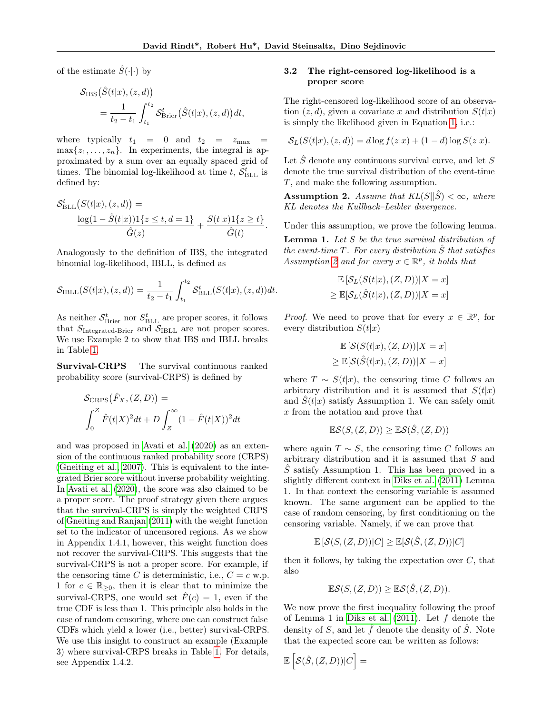of the estimate  $\hat{S}(\cdot|\cdot)$  by

$$
\mathcal{S}_{\text{IBS}}(\hat{S}(t|x), (z, d))
$$
  
= 
$$
\frac{1}{t_2 - t_1} \int_{t_1}^{t_2} \mathcal{S}_{\text{Brier}}^t(\hat{S}(t|x), (z, d)) dt,
$$

where typically  $t_1 = 0$  and  $t_2 = z_{\text{max}}$  $\max\{z_1,\ldots,z_n\}$ . In experiments, the integral is approximated by a sum over an equally spaced grid of times. The binomial log-likelihood at time  $t$ ,  $S_{\text{BLL}}^t$  is defined by:

$$
\mathcal{S}_{\text{BLL}}^{t}(S(t|x), (z, d)) = \frac{\log(1 - \hat{S}(t|x))1\{z \le t, d = 1\}}{\hat{G}(z)} + \frac{S(t|x)1\{z \ge t\}}{\hat{G}(t)}.
$$

Analogously to the definition of IBS, the integrated binomial log-likelihood, IBLL, is defined as

$$
S_{\text{IBLL}}(S(t|x), (z, d)) = \frac{1}{t_2 - t_1} \int_{t_1}^{t_2} S_{\text{BLL}}^t(S(t|x), (z, d)) dt.
$$

As neither  $\mathcal{S}_{\textnormal{Brier}}^t$  nor  $S_{\textnormal{BLL}}^t$  are proper scores, it follows that  $S_{\text{Integrated-Brier}}$  and  $S_{\text{IBLL}}$  are not proper scores. We use Example 2 to show that IBS and IBLL breaks in Table [1.](#page-3-2)

Survival-CRPS The survival continuous ranked probability score (survival-CRPS) is defined by

$$
\mathcal{S}_{CRPS}(\hat{F}_X,(Z,D)) =
$$
  

$$
\int_0^Z \hat{F}(t|X)^2 dt + D \int_Z^\infty (1 - \hat{F}(t|X))^2 dt
$$

and was proposed in [Avati et al.](#page-9-8) [\(2020\)](#page-9-8) as an extension of the continuous ranked probability score (CRPS) [\(Gneiting et al., 2007\)](#page-9-13). This is equivalent to the integrated Brier score without inverse probability weighting. In [Avati et al.](#page-9-8) [\(2020\)](#page-9-8), the score was also claimed to be a proper score. The proof strategy given there argues that the survival-CRPS is simply the weighted CRPS of [Gneiting and Ranjan](#page-9-14) [\(2011\)](#page-9-14) with the weight function set to the indicator of uncensored regions. As we show in Appendix 1.4.1, however, this weight function does not recover the survival-CRPS. This suggests that the survival-CRPS is not a proper score. For example, if the censoring time C is deterministic, i.e.,  $C = c$  w.p. 1 for  $c \in \mathbb{R}_{\geq 0}$ , then it is clear that to minimize the survival-CRPS, one would set  $\hat{F}(c) = 1$ , even if the true CDF is less than 1. This principle also holds in the case of random censoring, where one can construct false CDFs which yield a lower (i.e., better) survival-CRPS. We use this insight to construct an example (Example 3) where survival-CRPS breaks in Table [1.](#page-3-2) For details, see Appendix 1.4.2.

### 3.2 The right-censored log-likelihood is a proper score

The right-censored log-likelihood score of an observation  $(z, d)$ , given a covariate x and distribution  $S(t|x)$ is simply the likelihood given in Equation [1,](#page-1-1) i.e.:

$$
\mathcal{S}_L(S(t|x), (z, d)) = d \log f(z|x) + (1 - d) \log S(z|x).
$$

Let  $\hat{S}$  denote any continuous survival curve, and let S denote the true survival distribution of the event-time T, and make the following assumption.

<span id="page-4-0"></span>**Assumption 2.** Assume that  $KL(S||\hat{S}) < \infty$ , where KL denotes the Kullback–Leibler divergence.

Under this assumption, we prove the following lemma. **Lemma 1.** Let  $S$  be the true survival distribution of the event-time  $T$ . For every distribution  $\tilde{S}$  that satisfies Assumption [2](#page-4-0) and for every  $x \in \mathbb{R}^p$ , it holds that

$$
\mathbb{E}\left[\mathcal{S}_L(S(t|x),(Z,D))|X=x\right]
$$
  

$$
\geq \mathbb{E}[\mathcal{S}_L(\hat{S}(t|x),(Z,D))|X=x]
$$

*Proof.* We need to prove that for every  $x \in \mathbb{R}^p$ , for every distribution  $S(t|x)$ 

$$
\mathbb{E}\left[\mathcal{S}(S(t|x), (Z, D))|X = x\right]
$$
  

$$
\geq \mathbb{E}[\mathcal{S}(\hat{S}(t|x), (Z, D))|X = x]
$$

where  $T \sim S(t|x)$ , the censoring time C follows an arbitrary distribution and it is assumed that  $S(t|x)$ and  $S(t|x)$  satisfy Assumption 1. We can safely omit x from the notation and prove that

$$
\mathbb{E}\mathcal{S}(S,(Z,D)) \geq \mathbb{E}\mathcal{S}(\hat{S},(Z,D))
$$

where again  $T \sim S$ , the censoring time C follows an arbitrary distribution and it is assumed that S and  $\hat{S}$  satisfy Assumption 1. This has been proved in a slightly different context in [Diks et al.](#page-9-15) [\(2011\)](#page-9-15) Lemma 1. In that context the censoring variable is assumed known. The same argument can be applied to the case of random censoring, by first conditioning on the censoring variable. Namely, if we can prove that

$$
\mathbb{E}\left[\mathcal{S}(S,(Z,D))|C\right] \geq \mathbb{E}[\mathcal{S}(\hat{S},(Z,D))|C]
$$

then it follows, by taking the expectation over  $C$ , that also

$$
\mathbb{E}\mathcal{S}(S,(Z,D)) \geq \mathbb{E}\mathcal{S}(\hat{S},(Z,D)).
$$

We now prove the first inequality following the proof of Lemma 1 in [Diks et al.](#page-9-15)  $(2011)$ . Let f denote the density of S, and let  $\hat{f}$  denote the density of  $\hat{S}$ . Note that the expected score can be written as follows:

$$
\mathbb{E}\left[\mathcal{S}(\hat{S},(Z,D))|C\right]=
$$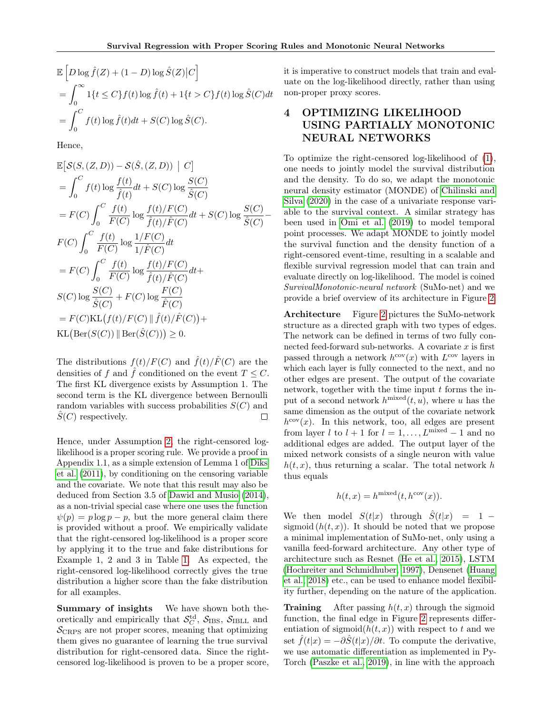$$
\mathbb{E}\left[D\log\hat{f}(Z) + (1-D)\log\hat{S}(Z)\big|C\right]
$$
  
= 
$$
\int_0^\infty 1\{t \le C\} f(t) \log\hat{f}(t) + 1\{t > C\} f(t) \log\hat{S}(C) dt
$$
  
= 
$$
\int_0^C f(t) \log\hat{f}(t) dt + S(C) \log\hat{S}(C).
$$

Hence,

$$
\mathbb{E}\left[\mathcal{S}(S,(Z,D)) - \mathcal{S}(\hat{S},(Z,D)) \mid C\right]
$$
\n
$$
= \int_0^C f(t) \log \frac{f(t)}{\hat{f}(t)} dt + S(C) \log \frac{S(C)}{\hat{S}(C)}
$$
\n
$$
= F(C) \int_0^C \frac{f(t)}{F(C)} \log \frac{f(t)/F(C)}{\hat{f}(t)/\hat{F}(C)} dt + S(C) \log \frac{S(C)}{\hat{S}(C)} - F(C) \int_0^C \frac{f(t)}{F(C)} \log \frac{1/F(C)}{1/\hat{F}(C)} dt
$$
\n
$$
= F(C) \int_0^C \frac{f(t)}{F(C)} \log \frac{f(t)/F(C)}{\hat{f}(t)/\hat{F}(C)} dt + S(C) \log \frac{S(C)}{\hat{S}(C)} + F(C) \log \frac{F(C)}{\hat{F}(C)}
$$
\n
$$
= F(C)KL(f(t)/F(C)) \parallel \hat{f}(t)/\hat{F}(C)) + KL(\text{Ber}(S(C))) \parallel \text{Ber}(\hat{S}(C))) \ge 0.
$$

The distributions  $f(t)/F(C)$  and  $\hat{f}(t)/\hat{F}(C)$  are the densities of f and f conditioned on the event  $T \leq C$ . The first KL divergence exists by Assumption 1. The second term is the KL divergence between Bernoulli random variables with success probabilities  $S(C)$  and  $S(C)$  respectively.  $\Box$ 

Hence, under Assumption [2,](#page-4-0) the right-censored loglikelihood is a proper scoring rule. We provide a proof in Appendix 1.1, as a simple extension of Lemma 1 of [Diks](#page-9-15) [et al.](#page-9-15) [\(2011\)](#page-9-15), by conditioning on the censoring variable and the covariate. We note that this result may also be deduced from Section 3.5 of [Dawid and Musio](#page-9-16) [\(2014\)](#page-9-16), as a non-trivial special case where one uses the function  $\psi(p) = p \log p - p$ , but the more general claim there is provided without a proof. We empirically validate that the right-censored log-likelihood is a proper score by applying it to the true and fake distributions for Example 1, 2 and 3 in Table [1.](#page-3-2) As expected, the right-censored log-likelihood correctly gives the true distribution a higher score than the fake distribution for all examples.

Summary of insights We have shown both theoretically and empirically that  $S_C^{\text{td}}$ ,  $S_{\text{IBS}}$ ,  $S_{\text{IBLL}}$  and  $S_{CRPS}$  are not proper scores, meaning that optimizing them gives no guarantee of learning the true survival distribution for right-censored data. Since the rightcensored log-likelihood is proven to be a proper score, it is imperative to construct models that train and evaluate on the log-likelihood directly, rather than using non-proper proxy scores.

# 4 OPTIMIZING LIKELIHOOD USING PARTIALLY MONOTONIC NEURAL NETWORKS

To optimize the right-censored log-likelihood of [\(1\)](#page-1-1), one needs to jointly model the survival distribution and the density. To do so, we adapt the monotonic neural density estimator (MONDE) of [Chilinski and](#page-9-17) [Silva](#page-9-17) [\(2020\)](#page-9-17) in the case of a univariate response variable to the survival context. A similar strategy has been used in [Omi et al.](#page-10-15) [\(2019\)](#page-10-15) to model temporal point processes. We adapt MONDE to jointly model the survival function and the density function of a right-censored event-time, resulting in a scalable and flexible survival regression model that can train and evaluate directly on log-likelihood. The model is coined SurvivalMonotonic-neural network (SuMo-net) and we provide a brief overview of its architecture in Figure [2.](#page-6-0)

Architecture Figure [2](#page-6-0) pictures the SuMo-network structure as a directed graph with two types of edges. The network can be defined in terms of two fully connected feed-forward sub-networks. A covariate  $x$  is first passed through a network  $h^{\text{cov}}(x)$  with  $L^{\text{cov}}$  layers in which each layer is fully connected to the next, and no other edges are present. The output of the covariate network, together with the time input  $t$  forms the input of a second network  $h^{\text{mixed}}(t, u)$ , where u has the same dimension as the output of the covariate network  $h^{\text{cov}}(x)$ . In this network, too, all edges are present from layer l to  $l + 1$  for  $l = 1, ..., L^{\text{mixed}} - 1$  and no additional edges are added. The output layer of the mixed network consists of a single neuron with value  $h(t, x)$ , thus returning a scalar. The total network h thus equals

$$
h(t, x) = h^{\text{mixed}}(t, h^{\text{cov}}(x)).
$$

We then model  $S(t|x)$  through  $\hat{S}(t|x) = 1$ sigmoid  $(h(t, x))$ . It should be noted that we propose a minimal implementation of SuMo-net, only using a vanilla feed-forward architecture. Any other type of architecture such as Resnet [\(He et al., 2015\)](#page-9-18), LSTM [\(Hochreiter and Schmidhuber, 1997\)](#page-9-19), Densenet [\(Huang](#page-9-20) [et al., 2018\)](#page-9-20) etc., can be used to enhance model flexibility further, depending on the nature of the application.

**Training** After passing  $h(t, x)$  through the sigmoid function, the final edge in Figure [2](#page-6-0) represents differentiation of sigmoid $(h(t, x))$  with respect to t and we set  $\hat{f}(t|x) = -\partial \hat{S}(t|x)/\partial t$ . To compute the derivative, we use automatic differentiation as implemented in Py-Torch [\(Paszke et al., 2019\)](#page-10-16), in line with the approach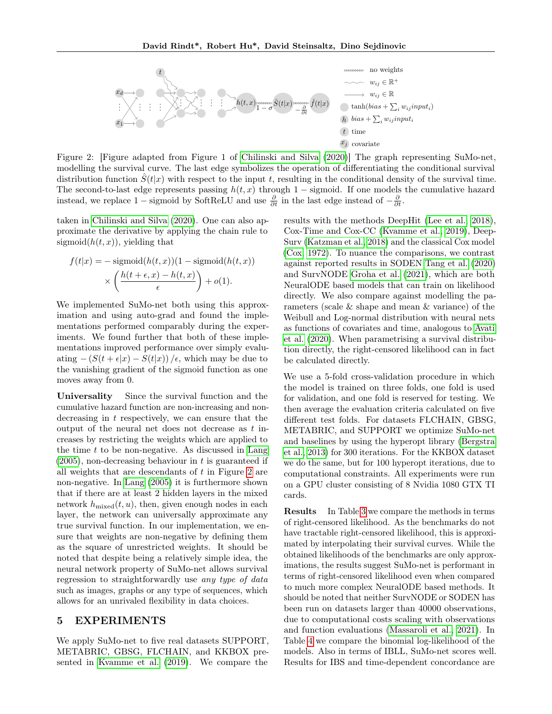<span id="page-6-0"></span>

Figure 2: [Figure adapted from Figure 1 of [Chilinski and Silva](#page-9-17) [\(2020\)](#page-9-17)] The graph representing SuMo-net, modelling the survival curve. The last edge symbolizes the operation of differentiating the conditional survival distribution function  $S(t|x)$  with respect to the input t, resulting in the conditional density of the survival time. The second-to-last edge represents passing  $h(t, x)$  through 1 – sigmoid. If one models the cumulative hazard instead, we replace 1 – sigmoid by SoftReLU and use  $\frac{\partial}{\partial t}$  in the last edge instead of  $-\frac{\partial}{\partial t}$ .

taken in [Chilinski and Silva](#page-9-17) [\(2020\)](#page-9-17). One can also approximate the derivative by applying the chain rule to sigmoid $(h(t, x))$ , yielding that

$$
f(t|x) = -\operatorname{sigmoid}(h(t, x))(1 - \operatorname{sigmoid}(h(t, x))
$$

$$
\times \left(\frac{h(t + \epsilon, x) - h(t, x)}{\epsilon}\right) + o(1).
$$

We implemented SuMo-net both using this approximation and using auto-grad and found the implementations performed comparably during the experiments. We found further that both of these implementations improved performance over simply evaluating  $-(S(t+\epsilon|x)-S(t|x))/\epsilon$ , which may be due to the vanishing gradient of the sigmoid function as one moves away from 0.

Universality Since the survival function and the cumulative hazard function are non-increasing and nondecreasing in t respectively, we can ensure that the output of the neural net does not decrease as t increases by restricting the weights which are applied to the time  $t$  to be non-negative. As discussed in [Lang](#page-10-17)  $(2005)$ , non-decreasing behaviour in t is guaranteed if all weights that are descendants of  $t$  in Figure [2](#page-6-0) are non-negative. In [Lang](#page-10-17) [\(2005\)](#page-10-17) it is furthermore shown that if there are at least 2 hidden layers in the mixed network  $h_{\text{mixed}}(t, u)$ , then, given enough nodes in each layer, the network can universally approximate any true survival function. In our implementation, we ensure that weights are non-negative by defining them as the square of unrestricted weights. It should be noted that despite being a relatively simple idea, the neural network property of SuMo-net allows survival regression to straightforwardly use any type of data such as images, graphs or any type of sequences, which allows for an unrivaled flexibility in data choices.

### 5 EXPERIMENTS

We apply SuMo-net to five real datasets SUPPORT, METABRIC, GBSG, FLCHAIN, and KKBOX presented in [Kvamme et al.](#page-10-6) [\(2019\)](#page-10-6). We compare the results with the methods DeepHit [\(Lee et al., 2018\)](#page-10-8), Cox-Time and Cox-CC [\(Kvamme et al., 2019\)](#page-10-6), Deep-Surv [\(Katzman et al., 2018\)](#page-10-7) and the classical Cox model [\(Cox, 1972\)](#page-9-1). To nuance the comparisons, we contrast against reported results in SODEN [Tang et al.](#page-10-11) [\(2020\)](#page-10-11) and SurvNODE [Groha et al.](#page-9-5) [\(2021\)](#page-9-5), which are both NeuralODE based models that can train on likelihood directly. We also compare against modelling the parameters (scale & shape and mean & variance) of the Weibull and Log-normal distribution with neural nets as functions of covariates and time, analogous to [Avati](#page-9-8) [et al.](#page-9-8) [\(2020\)](#page-9-8). When parametrising a survival distribution directly, the right-censored likelihood can in fact be calculated directly.

We use a 5-fold cross-validation procedure in which the model is trained on three folds, one fold is used for validation, and one fold is reserved for testing. We then average the evaluation criteria calculated on five different test folds. For datasets FLCHAIN, GBSG, METABRIC, and SUPPORT we optimize SuMo-net and baselines by using the hyperopt library [\(Bergstra](#page-9-21) [et al., 2013\)](#page-9-21) for 300 iterations. For the KKBOX dataset we do the same, but for 100 hyperopt iterations, due to computational constraints. All experiments were run on a GPU cluster consisting of 8 Nvidia 1080 GTX TI cards.

Results In Table [3](#page-8-0) we compare the methods in terms of right-censored likelihood. As the benchmarks do not have tractable right-censored likelihood, this is approximated by interpolating their survival curves. While the obtained likelihoods of the benchmarks are only approximations, the results suggest SuMo-net is performant in terms of right-censored likelihood even when compared to much more complex NeuralODE based methods. It should be noted that neither SurvNODE or SODEN has been run on datasets larger than 40000 observations, due to computational costs scaling with observations and function evaluations [\(Massaroli et al., 2021\)](#page-10-12). In Table [4](#page-8-1) we compare the binomial log-likelihood of the models. Also in terms of IBLL, SuMo-net scores well. Results for IBS and time-dependent concordance are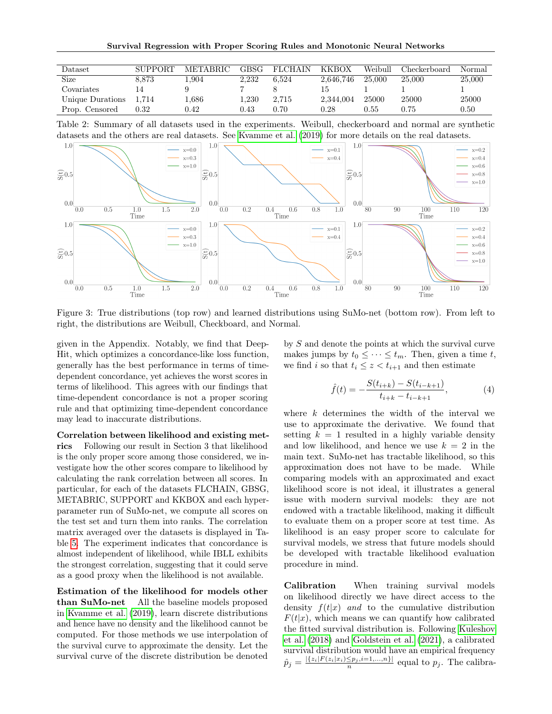| <b>Dataset</b>   | <b>SUPPORT</b> | <b>METABRIC</b> | <b>GBSG</b> | <b>FLCHAIN</b> | <b>KKBOX</b> | Weibull | Checkerboard | Normal |
|------------------|----------------|-----------------|-------------|----------------|--------------|---------|--------------|--------|
| Size             | 8.873          | 1.904           | 2.232       | 6.524          | 2.646.746    | 25,000  | 25.000       | 25,000 |
| Covariates       |                |                 |             |                | 15           |         |              |        |
| Unique Durations | 1.714          | 0.686           | l.230       | 2.715          | 2,344,004    | 25000   | 25000        | 25000  |
| Prop. Censored   | 0.32           | 0.42            | 0.43        | 0.70           | $0.28\,$     | 0.55    | 0.75         | 0.50   |

Table 2: Summary of all datasets used in the experiments. Weibull, checkerboard and normal are synthetic datasets and the others are real datasets. See [Kvamme et al.](#page-10-6) [\(2019\)](#page-10-6) for more details on the real datasets.



Figure 3: True distributions (top row) and learned distributions using SuMo-net (bottom row). From left to right, the distributions are Weibull, Checkboard, and Normal.

given in the Appendix. Notably, we find that Deep-Hit, which optimizes a concordance-like loss function, generally has the best performance in terms of timedependent concordance, yet achieves the worst scores in terms of likelihood. This agrees with our findings that time-dependent concordance is not a proper scoring rule and that optimizing time-dependent concordance may lead to inaccurate distributions.

Correlation between likelihood and existing metrics Following our result in Section 3 that likelihood is the only proper score among those considered, we investigate how the other scores compare to likelihood by calculating the rank correlation between all scores. In particular, for each of the datasets FLCHAIN, GBSG, METABRIC, SUPPORT and KKBOX and each hyperparameter run of SuMo-net, we compute all scores on the test set and turn them into ranks. The correlation matrix averaged over the datasets is displayed in Table [5.](#page-8-2) The experiment indicates that concordance is almost independent of likelihood, while IBLL exhibits the strongest correlation, suggesting that it could serve as a good proxy when the likelihood is not available.

Estimation of the likelihood for models other than SuMo-net All the baseline models proposed in [Kvamme et al.](#page-10-6) [\(2019\)](#page-10-6), learn discrete distributions and hence have no density and the likelihood cannot be computed. For those methods we use interpolation of the survival curve to approximate the density. Let the survival curve of the discrete distribution be denoted

by S and denote the points at which the survival curve makes jumps by  $t_0 \leq \cdots \leq t_m$ . Then, given a time t, we find i so that  $t_i \leq z < t_{i+1}$  and then estimate

<span id="page-7-0"></span>
$$
\hat{f}(t) = -\frac{S(t_{i+k}) - S(t_{i-k+1})}{t_{i+k} - t_{i-k+1}},
$$
\n(4)

where  $k$  determines the width of the interval we use to approximate the derivative. We found that setting  $k = 1$  resulted in a highly variable density and low likelihood, and hence we use  $k = 2$  in the main text. SuMo-net has tractable likelihood, so this approximation does not have to be made. While comparing models with an approximated and exact likelihood score is not ideal, it illustrates a general issue with modern survival models: they are not endowed with a tractable likelihood, making it difficult to evaluate them on a proper score at test time. As likelihood is an easy proper score to calculate for survival models, we stress that future models should be developed with tractable likelihood evaluation procedure in mind.

Calibration When training survival models on likelihood directly we have direct access to the density  $f(t|x)$  and to the cumulative distribution  $F(t|x)$ , which means we can quantify how calibrated the fitted survival distribution is. Following [Kuleshov](#page-10-18) [et al.](#page-10-18) [\(2018\)](#page-10-18) and [Goldstein et al.](#page-9-22) [\(2021\)](#page-9-22), a calibrated survival distribution would have an empirical frequency  $\hat{p}_j = \frac{|\{z_i| F(z_i|x_i) \le p_j, i=1,\dots,n\}|}{n}$  equal to  $p_j$ . The calibra-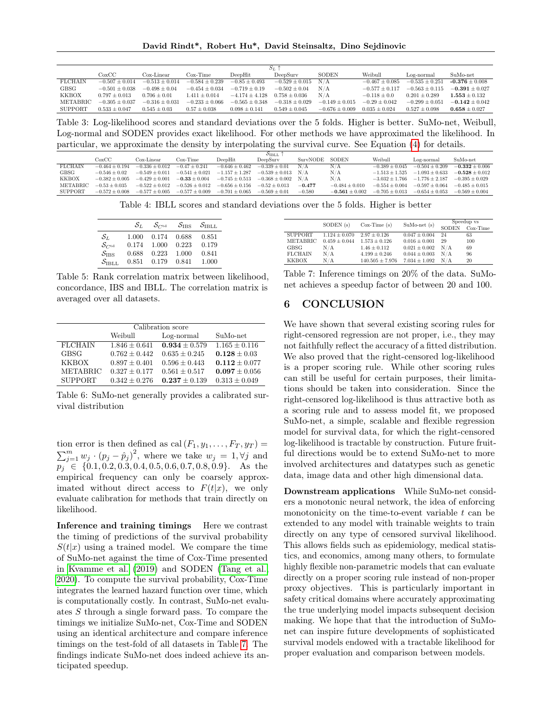David Rindt\*, Robert Hu\*, David Steinsaltz, Dino Sejdinovic

<span id="page-8-0"></span>

|                | $S_L$ -            |                    |                    |                    |                    |                    |                    |                    |                    |
|----------------|--------------------|--------------------|--------------------|--------------------|--------------------|--------------------|--------------------|--------------------|--------------------|
|                | $\rm CoxCC$        | Cox-Linear         | $Cox-Time$         | DeepHit            | DeepSury           | <b>SODEN</b>       | Weibull            | Log-normal         | SuMo-net           |
| <b>FLCHAIN</b> | $-0.507 \pm 0.014$ | $-0.513 + 0.014$   | $-0.584 \pm 0.239$ | $-0.85 \pm 0.493$  | $-0.529 \pm 0.015$ | N/A                | $-0.467 + 0.085$   | $-0.535 + 0.251$   | $-0.376 + 0.008$   |
| <b>GBSG</b>    | $-0.501 \pm 0.038$ | $-0.498 + 0.04$    | $-0.454 \pm 0.034$ | $-0.719 \pm 0.19$  | $-0.502 \pm 0.04$  | N/A                | $-0.577 \pm 0.117$ | $-0.563 \pm 0.115$ | $-0.391 \pm 0.027$ |
| <b>KKBOX</b>   | $0.797 \pm 0.013$  | $0.706 \pm 0.01$   | $1.411 \pm 0.014$  | $-4.174 \pm 4.128$ | $0.758 \pm 0.036$  | N/A                | $-0.118 \pm 0.0$   | $0.201 \pm 0.289$  | $1.553 \pm 0.132$  |
| METABRIC       | $-0.305 \pm 0.037$ | $-0.316 \pm 0.031$ | $-0.233 \pm 0.066$ | $-0.565 + 0.348$   | $-0.318 + 0.029$   | $-0.149 \pm 0.015$ | $-0.29 \pm 0.042$  | $-0.299 \pm 0.051$ | $-0.142 \pm 0.042$ |
| SUPPORT        | $0.533 \pm 0.047$  | $0.545 \pm 0.03$   | $0.57 \pm 0.038$   | $0.098 \pm 0.141$  | $0.549 \pm 0.045$  | $-0.676 \pm 0.009$ | $0.035 \pm 0.024$  | $0.527 \pm 0.098$  | $0.658 \pm 0.027$  |

Table 3: Log-likelihood scores and standard deviations over the 5 folds. Higher is better. SuMo-net, Weibull, Log-normal and SODEN provides exact likelihood. For other methods we have approximated the likelihood. In particular, we approximate the density by interpolating the survival curve. See Equation [\(4\)](#page-7-0) for details.

<span id="page-8-1"></span>

|                |                    |                    |                    |                    | S <sub>IBLL</sub>      |          |                    |                    |                    |                    |
|----------------|--------------------|--------------------|--------------------|--------------------|------------------------|----------|--------------------|--------------------|--------------------|--------------------|
|                | $\rm CoxCC$        | Cox-Linear         | Cox-Time           | DeepHit            | DeepSurv               | SurvNODE | SODEN              | Weibull            | Log-normal         | SuMo-net           |
| <b>FLCHAIN</b> | $-0.464 + 0.194$   | $-0.336 \pm 0.012$ | $-0.47 \pm 0.241$  | $-0.646 \pm 0.462$ | $-0.339 \pm 0.01$      | N/A      | N/A                | $-0.389 + 0.045$   | $-0.504 \pm 0.209$ | $-0.332 \pm 0.006$ |
| GBSG           | $-0.546 \pm 0.02$  | $-0.549 \pm 0.011$ | $-0.541 \pm 0.021$ | $-1.157 \pm 1.287$ | $-0.539 \pm 0.013$ N/A |          | N/A                | $-1.513 \pm 1.525$ | $-1.093 \pm 0.633$ | $-0.528 \pm 0.012$ |
| <b>KKBOX</b>   | $-0.382 \pm 0.005$ | $-0.429 \pm 0.001$ | $-0.33 \pm 0.004$  | $-0.745 \pm 0.513$ | $-0.368 \pm 0.002$ N/A |          | N/A                | $-3.032 \pm 1.766$ | $-1.776 \pm 2.187$ | $-0.395 \pm 0.029$ |
| METABRIC       | $-0.53 \pm 0.035$  | $-0.522 \pm 0.012$ | $-0.526 + 0.012$   | $-0.656 + 0.156$   | $-0.52 + 0.013$        | $-0.477$ | $-0.484 \pm 0.010$ | $-0.554 + 0.004$   | $-0.597 + 0.064$   | $-0.485 \pm 0.015$ |
| SUPPORT        | $-0.572 \pm 0.008$ | $-0.577 \pm 0.005$ | $-0.577 \pm 0.009$ | $-0.701 \pm 0.065$ | $-0.569 \pm 0.01$      | $-0.580$ | $-0.561 + 0.002$   | $-0.705 \pm 0.013$ | $-0.654 \pm 0.053$ | $-0.569 + 0.004$   |
|                |                    |                    |                    |                    |                        |          |                    |                    |                    |                    |

Table 4: IBLL scores and standard deviations over the 5 folds. Higher is better

<span id="page-8-2"></span>

|                               | $\mathcal{S}_L$ | $\mathcal{S}_{C^{\text{td}}}$ | $\mathcal{S}_{\text{IBS}}$ | $\mathcal{S}_{\rm{IBLL}}$ |
|-------------------------------|-----------------|-------------------------------|----------------------------|---------------------------|
| $\mathcal{S}_{L}$             | 1.000           | 0.174                         | 0.688                      | 0.851                     |
| $\mathcal{S}_{C^{\text{td}}}$ | 0.174           | 1.000                         | 0.223                      | 0.179                     |
| $S_{\rm IBS}$                 | 0.688           | 0.223                         | 1.000                      | 0.841                     |
| $\mathcal{S}_{\rm{IBLL}}$     | 0.851           | 0.179                         | 0.841                      | 1.000                     |

Table 5: Rank correlation matrix between likelihood, concordance, IBS and IBLL. The correlation matrix is averaged over all datasets.

| Calibration score |                   |                   |                   |  |  |  |  |
|-------------------|-------------------|-------------------|-------------------|--|--|--|--|
|                   | Weibull           | Log-normal        | SuMo-net          |  |  |  |  |
| <b>FLCHAIN</b>    | $1.846 + 0.641$   | $0.934 \pm 0.579$ | $1.165 + 0.116$   |  |  |  |  |
| <b>GBSG</b>       | $0.762 + 0.442$   | $0.635 + 0.245$   | $0.128 \pm 0.03$  |  |  |  |  |
| <b>KKBOX</b>      | $0.897 \pm 0.401$ | $0.596 + 0.443$   | $0.112 \pm 0.077$ |  |  |  |  |
| METABRIC          | $0.327 \pm 0.177$ | $0.561 + 0.517$   | $0.097 \pm 0.056$ |  |  |  |  |
| <b>SUPPORT</b>    | $0.342 + 0.276$   | $0.237 \pm 0.139$ | $0.313 \pm 0.049$ |  |  |  |  |

Table 6: SuMo-net generally provides a calibrated survival distribution

tion error is then defined as cal  $(F_1, y_1, \ldots, F_T, y_T)$  =  $\sum_{j=1}^{m} w_j \cdot (p_j - \hat{p}_j)^2$ , where we take  $w_j = 1, \forall j$  and  $p_j \in \{0.1, 0.2, 0.3, 0.4, 0.5, 0.6, 0.7, 0.8, 0.9\}.$  As the empirical frequency can only be coarsely approximated without direct access to  $F(t|x)$ , we only evaluate calibration for methods that train directly on likelihood.

Inference and training timings Here we contrast the timing of predictions of the survival probability  $S(t|x)$  using a trained model. We compare the time of SuMo-net against the time of Cox-Time presented in [Kvamme et al.](#page-10-6) [\(2019\)](#page-10-6) and SODEN [\(Tang et al.,](#page-10-11) [2020\)](#page-10-11). To compute the survival probability, Cox-Time integrates the learned hazard function over time, which is computationally costly. In contrast, SuMo-net evaluates S through a single forward pass. To compare the timings we initialize SuMo-net, Cox-Time and SODEN using an identical architecture and compare inference timings on the test-fold of all datasets in Table [7.](#page-8-3) The findings indicate SuMo-net does indeed achieve its anticipated speedup.

<span id="page-8-3"></span>

|                |                   |                     |                   | Speedup vs   |            |
|----------------|-------------------|---------------------|-------------------|--------------|------------|
|                | SODEN (s)         | $Cox-Time(s)$       | $SuMo-net(s)$     | <b>SODEN</b> | $Cox-Time$ |
| <b>SUPPORT</b> | $1.124 \pm 0.070$ | $2.97 \pm 0.126$    | $0.047 \pm 0.004$ | 24           | 63         |
| METABRIC       | $0.459 \pm 0.044$ | $1.573 \pm 0.126$   | $0.016 \pm 0.001$ | 29           | 100        |
| GBSG           | N/A               | $1.46 \pm 0.112$    | $0.021 \pm 0.002$ | N/A          | 69         |
| <b>FLCHAIN</b> | N/A               | $4.199 \pm 0.246$   | $0.044 \pm 0.003$ | N/A          | 96         |
| <b>KKBOX</b>   | N/A               | $140.505 \pm 7.976$ | $7.034 \pm 1.092$ | N/A          | 20         |

Table 7: Inference timings on 20% of the data. SuMonet achieves a speedup factor of between 20 and 100.

## 6 CONCLUSION

We have shown that several existing scoring rules for right-censored regression are not proper, i.e., they may not faithfully reflect the accuracy of a fitted distribution. We also proved that the right-censored log-likelihood is a proper scoring rule. While other scoring rules can still be useful for certain purposes, their limitations should be taken into consideration. Since the right-censored log-likelihood is thus attractive both as a scoring rule and to assess model fit, we proposed SuMo-net, a simple, scalable and flexible regression model for survival data, for which the right-censored log-likelihood is tractable by construction. Future fruitful directions would be to extend SuMo-net to more involved architectures and datatypes such as genetic data, image data and other high dimensional data.

Downstream applications While SuMo-net considers a monotonic neural network, the idea of enforcing monotonicity on the time-to-event variable  $t$  can be extended to any model with trainable weights to train directly on any type of censored survival likelihood. This allows fields such as epidemiology, medical statistics, and economics, among many others, to formulate highly flexible non-parametric models that can evaluate directly on a proper scoring rule instead of non-proper proxy objectives. This is particularly important in safety critical domains where accurately approximating the true underlying model impacts subsequent decision making. We hope that that the introduction of SuMonet can inspire future developments of sophisticated survival models endowed with a tractable likelihood for proper evaluation and comparison between models.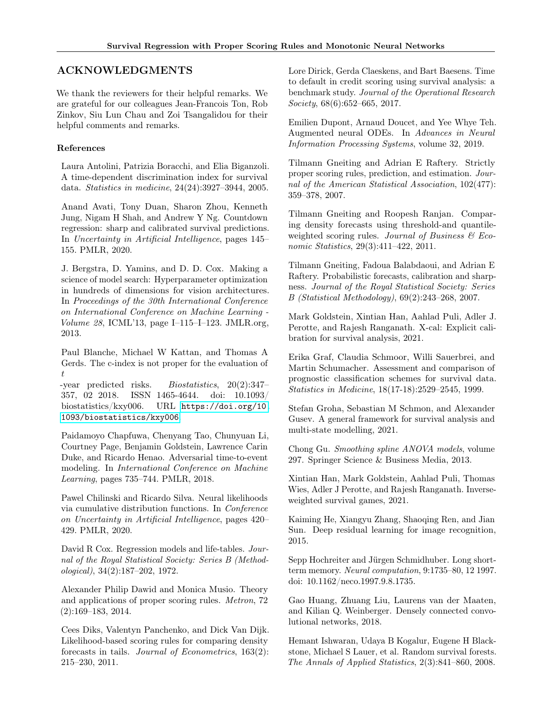# ACKNOWLEDGMENTS

We thank the reviewers for their helpful remarks. We are grateful for our colleagues Jean-Francois Ton, Rob Zinkov, Siu Lun Chau and Zoi Tsangalidou for their helpful comments and remarks.

# References

<span id="page-9-7"></span>Laura Antolini, Patrizia Boracchi, and Elia Biganzoli. A time-dependent discrimination index for survival data. Statistics in medicine, 24(24):3927–3944, 2005.

<span id="page-9-8"></span>Anand Avati, Tony Duan, Sharon Zhou, Kenneth Jung, Nigam H Shah, and Andrew Y Ng. Countdown regression: sharp and calibrated survival predictions. In Uncertainty in Artificial Intelligence, pages 145– 155. PMLR, 2020.

<span id="page-9-21"></span>J. Bergstra, D. Yamins, and D. D. Cox. Making a science of model search: Hyperparameter optimization in hundreds of dimensions for vision architectures. In Proceedings of the 30th International Conference on International Conference on Machine Learning - Volume 28, ICML'13, page I–115–I–123. JMLR.org, 2013.

<span id="page-9-11"></span>Paul Blanche, Michael W Kattan, and Thomas A Gerds. The c-index is not proper for the evaluation of  $t$ 

-year predicted risks. Biostatistics, 20(2):347– 357, 02 2018. ISSN 1465-4644. doi: 10.1093/ biostatistics/kxy006. URL [https://doi.org/10.](https://doi.org/10.1093/biostatistics/kxy006) [1093/biostatistics/kxy006](https://doi.org/10.1093/biostatistics/kxy006).

<span id="page-9-3"></span>Paidamoyo Chapfuwa, Chenyang Tao, Chunyuan Li, Courtney Page, Benjamin Goldstein, Lawrence Carin Duke, and Ricardo Henao. Adversarial time-to-event modeling. In International Conference on Machine Learning, pages 735–744. PMLR, 2018.

<span id="page-9-17"></span>Pawel Chilinski and Ricardo Silva. Neural likelihoods via cumulative distribution functions. In Conference on Uncertainty in Artificial Intelligence, pages 420– 429. PMLR, 2020.

<span id="page-9-1"></span>David R Cox. Regression models and life-tables. Journal of the Royal Statistical Society: Series B (Methodological), 34(2):187–202, 1972.

<span id="page-9-16"></span>Alexander Philip Dawid and Monica Musio. Theory and applications of proper scoring rules. Metron, 72 (2):169–183, 2014.

<span id="page-9-15"></span>Cees Diks, Valentyn Panchenko, and Dick Van Dijk. Likelihood-based scoring rules for comparing density forecasts in tails. Journal of Econometrics, 163(2): 215–230, 2011.

<span id="page-9-0"></span>Lore Dirick, Gerda Claeskens, and Bart Baesens. Time to default in credit scoring using survival analysis: a benchmark study. Journal of the Operational Research Society, 68(6):652–665, 2017.

<span id="page-9-6"></span>Emilien Dupont, Arnaud Doucet, and Yee Whye Teh. Augmented neural ODEs. In Advances in Neural Information Processing Systems, volume 32, 2019.

<span id="page-9-4"></span>Tilmann Gneiting and Adrian E Raftery. Strictly proper scoring rules, prediction, and estimation. Journal of the American Statistical Association, 102(477): 359–378, 2007.

<span id="page-9-14"></span>Tilmann Gneiting and Roopesh Ranjan. Comparing density forecasts using threshold-and quantileweighted scoring rules. Journal of Business  $\mathcal B$  Economic Statistics, 29(3):411–422, 2011.

<span id="page-9-13"></span>Tilmann Gneiting, Fadoua Balabdaoui, and Adrian E Raftery. Probabilistic forecasts, calibration and sharpness. Journal of the Royal Statistical Society: Series B (Statistical Methodology), 69(2):243–268, 2007.

<span id="page-9-22"></span>Mark Goldstein, Xintian Han, Aahlad Puli, Adler J. Perotte, and Rajesh Ranganath. X-cal: Explicit calibration for survival analysis, 2021.

<span id="page-9-9"></span>Erika Graf, Claudia Schmoor, Willi Sauerbrei, and Martin Schumacher. Assessment and comparison of prognostic classification schemes for survival data. Statistics in Medicine, 18(17-18):2529–2545, 1999.

<span id="page-9-5"></span>Stefan Groha, Sebastian M Schmon, and Alexander Gusev. A general framework for survival analysis and multi-state modelling, 2021.

<span id="page-9-10"></span>Chong Gu. Smoothing spline ANOVA models, volume 297. Springer Science & Business Media, 2013.

<span id="page-9-12"></span>Xintian Han, Mark Goldstein, Aahlad Puli, Thomas Wies, Adler J Perotte, and Rajesh Ranganath. Inverseweighted survival games, 2021.

<span id="page-9-18"></span>Kaiming He, Xiangyu Zhang, Shaoqing Ren, and Jian Sun. Deep residual learning for image recognition, 2015.

<span id="page-9-19"></span>Sepp Hochreiter and Jürgen Schmidhuber. Long shortterm memory. Neural computation, 9:1735–80, 12 1997. doi: 10.1162/neco.1997.9.8.1735.

<span id="page-9-20"></span>Gao Huang, Zhuang Liu, Laurens van der Maaten, and Kilian Q. Weinberger. Densely connected convolutional networks, 2018.

<span id="page-9-2"></span>Hemant Ishwaran, Udaya B Kogalur, Eugene H Blackstone, Michael S Lauer, et al. Random survival forests. The Annals of Applied Statistics, 2(3):841–860, 2008.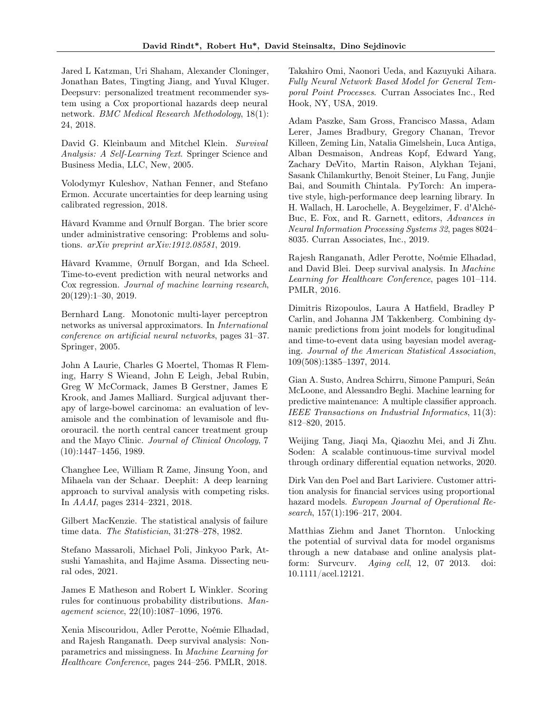<span id="page-10-7"></span>Jared L Katzman, Uri Shaham, Alexander Cloninger, Jonathan Bates, Tingting Jiang, and Yuval Kluger. Deepsurv: personalized treatment recommender system using a Cox proportional hazards deep neural network. BMC Medical Research Methodology, 18(1): 24, 2018.

<span id="page-10-5"></span>David G. Kleinbaum and Mitchel Klein. Survival Analysis: A Self-Learning Text. Springer Science and Business Media, LLC, New, 2005.

<span id="page-10-18"></span>Volodymyr Kuleshov, Nathan Fenner, and Stefano Ermon. Accurate uncertainties for deep learning using calibrated regression, 2018.

<span id="page-10-14"></span>Håvard Kvamme and Ørnulf Borgan. The brier score under administrative censoring: Problems and solutions. arXiv preprint arXiv:1912.08581, 2019.

<span id="page-10-6"></span>Håvard Kvamme, Ørnulf Borgan, and Ida Scheel. Time-to-event prediction with neural networks and Cox regression. Journal of machine learning research, 20(129):1–30, 2019.

<span id="page-10-17"></span>Bernhard Lang. Monotonic multi-layer perceptron networks as universal approximators. In International conference on artificial neural networks, pages 31–37. Springer, 2005.

<span id="page-10-2"></span>John A Laurie, Charles G Moertel, Thomas R Fleming, Harry S Wieand, John E Leigh, Jebal Rubin, Greg W McCormack, James B Gerstner, James E Krook, and James Malliard. Surgical adjuvant therapy of large-bowel carcinoma: an evaluation of levamisole and the combination of levamisole and fluorouracil. the north central cancer treatment group and the Mayo Clinic. Journal of Clinical Oncology, 7 (10):1447–1456, 1989.

<span id="page-10-8"></span>Changhee Lee, William R Zame, Jinsung Yoon, and Mihaela van der Schaar. Deephit: A deep learning approach to survival analysis with competing risks. In AAAI, pages 2314–2321, 2018.

<span id="page-10-4"></span>Gilbert MacKenzie. The statistical analysis of failure time data. The Statistician, 31:278–278, 1982.

<span id="page-10-12"></span>Stefano Massaroli, Michael Poli, Jinkyoo Park, Atsushi Yamashita, and Hajime Asama. Dissecting neural odes, 2021.

<span id="page-10-19"></span>James E Matheson and Robert L Winkler. Scoring rules for continuous probability distributions. Management science, 22(10):1087–1096, 1976.

<span id="page-10-10"></span>Xenia Miscouridou, Adler Perotte, Noémie Elhadad, and Rajesh Ranganath. Deep survival analysis: Nonparametrics and missingness. In Machine Learning for Healthcare Conference, pages 244–256. PMLR, 2018.

<span id="page-10-15"></span>Takahiro Omi, Naonori Ueda, and Kazuyuki Aihara. Fully Neural Network Based Model for General Temporal Point Processes. Curran Associates Inc., Red Hook, NY, USA, 2019.

<span id="page-10-16"></span>Adam Paszke, Sam Gross, Francisco Massa, Adam Lerer, James Bradbury, Gregory Chanan, Trevor Killeen, Zeming Lin, Natalia Gimelshein, Luca Antiga, Alban Desmaison, Andreas Kopf, Edward Yang, Zachary DeVito, Martin Raison, Alykhan Tejani, Sasank Chilamkurthy, Benoit Steiner, Lu Fang, Junjie Bai, and Soumith Chintala. PyTorch: An imperative style, high-performance deep learning library. In H. Wallach, H. Larochelle, A. Beygelzimer, F. d'Alché-Buc, E. Fox, and R. Garnett, editors, Advances in Neural Information Processing Systems 32, pages 8024– 8035. Curran Associates, Inc., 2019.

<span id="page-10-9"></span>Rajesh Ranganath, Adler Perotte, Noémie Elhadad, and David Blei. Deep survival analysis. In Machine Learning for Healthcare Conference, pages 101–114. PMLR, 2016.

<span id="page-10-13"></span>Dimitris Rizopoulos, Laura A Hatfield, Bradley P Carlin, and Johanna JM Takkenberg. Combining dynamic predictions from joint models for longitudinal and time-to-event data using bayesian model averaging. Journal of the American Statistical Association, 109(508):1385–1397, 2014.

<span id="page-10-1"></span>Gian A. Susto, Andrea Schirru, Simone Pampuri, Seán McLoone, and Alessandro Beghi. Machine learning for predictive maintenance: A multiple classifier approach. IEEE Transactions on Industrial Informatics, 11(3): 812–820, 2015.

<span id="page-10-11"></span>Weijing Tang, Jiaqi Ma, Qiaozhu Mei, and Ji Zhu. Soden: A scalable continuous-time survival model through ordinary differential equation networks, 2020.

<span id="page-10-3"></span>Dirk Van den Poel and Bart Lariviere. Customer attrition analysis for financial services using proportional hazard models. European Journal of Operational Research, 157(1):196–217, 2004.

<span id="page-10-0"></span>Matthias Ziehm and Janet Thornton. Unlocking the potential of survival data for model organisms through a new database and online analysis platform: Survcurv. Aging cell, 12, 07 2013. doi: 10.1111/acel.12121.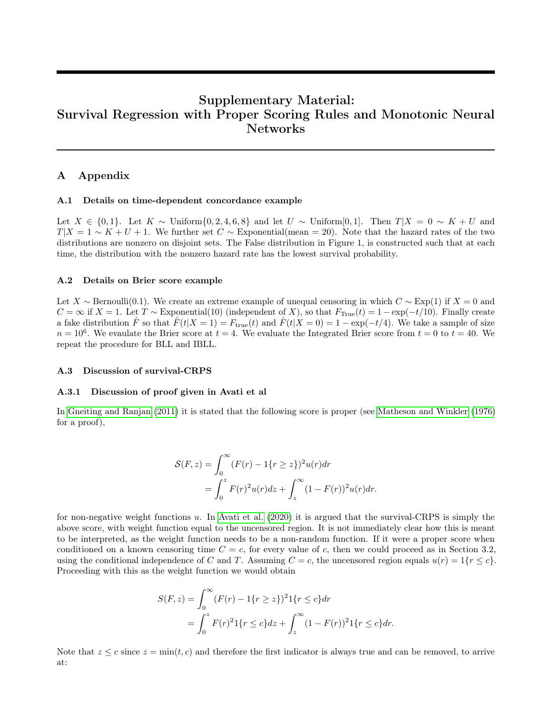# Supplementary Material: Survival Regression with Proper Scoring Rules and Monotonic Neural Networks

# A Appendix

#### A.1 Details on time-dependent concordance example

Let  $X \in \{0, 1\}$ . Let  $K \sim$  Uniform $\{0, 2, 4, 6, 8\}$  and let  $U \sim$  Uniform[0, 1]. Then  $T|X = 0 \sim K + U$  and  $T|X = 1 \sim K + U + 1$ . We further set  $C \sim$  Exponential(mean = 20). Note that the hazard rates of the two distributions are nonzero on disjoint sets. The False distribution in Figure 1, is constructed such that at each time, the distribution with the nonzero hazard rate has the lowest survival probability.

#### A.2 Details on Brier score example

Let X ∼ Bernoulli(0.1). We create an extreme example of unequal censoring in which  $C \sim \text{Exp}(1)$  if  $X = 0$  and  $C = \infty$  if  $X = 1$ . Let  $T \sim$  Exponential(10) (independent of X), so that  $F_{\text{True}}(t) = 1 - \exp(-t/10)$ . Finally create a fake distribution  $\hat{F}$  so that  $\hat{F}(t|X=1) = F_{true}(t)$  and  $\hat{F}(t|X=0) = 1 - \exp(-t/4)$ . We take a sample of size  $n = 10^6$ . We evaulate the Brier score at  $t = 4$ . We evaluate the Integrated Brier score from  $t = 0$  to  $t = 40$ . We repeat the procedure for BLL and IBLL.

#### A.3 Discussion of survival-CRPS

#### A.3.1 Discussion of proof given in Avati et al

In [Gneiting and Ranjan](#page-9-14) [\(2011\)](#page-9-14) it is stated that the following score is proper (see [Matheson and Winkler](#page-10-19) [\(1976\)](#page-10-19) for a proof),

$$
\mathcal{S}(F,z) = \int_0^\infty (F(r) - 1\{r \ge z\})^2 u(r) dr
$$
  
= 
$$
\int_0^z F(r)^2 u(r) dz + \int_z^\infty (1 - F(r))^2 u(r) dr.
$$

for non-negative weight functions u. In [Avati et al.](#page-9-8) [\(2020\)](#page-9-8) it is argued that the survival-CRPS is simply the above score, with weight function equal to the uncensored region. It is not immediately clear how this is meant to be interpreted, as the weight function needs to be a non-random function. If it were a proper score when conditioned on a known censoring time  $C = c$ , for every value of c, then we could proceed as in Section 3.2, using the conditional independence of C and T. Assuming  $C = c$ , the uncensored region equals  $u(r) = 1\{r \leq c\}$ . Proceeding with this as the weight function we would obtain

$$
S(F, z) = \int_0^\infty (F(r) - 1\{r \ge z\})^2 1\{r \le c\} dr
$$
  
= 
$$
\int_0^z F(r)^2 1\{r \le c\} dz + \int_z^\infty (1 - F(r))^2 1\{r \le c\} dr.
$$

Note that  $z \leq c$  since  $z = \min(t, c)$  and therefore the first indicator is always true and can be removed, to arrive at: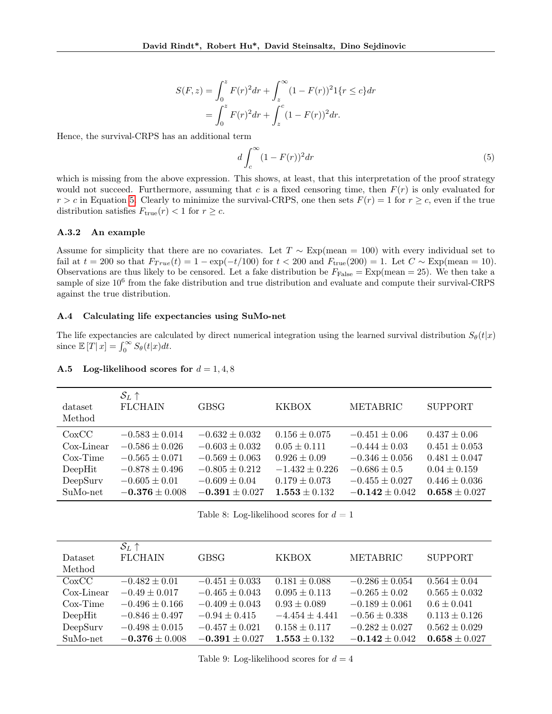$$
S(F, z) = \int_0^z F(r)^2 dr + \int_z^{\infty} (1 - F(r))^2 1\{r \le c\} dr
$$
  
= 
$$
\int_0^z F(r)^2 dr + \int_z^c (1 - F(r))^2 dr.
$$

Hence, the survival-CRPS has an additional term

<span id="page-12-0"></span>
$$
d\int_{c}^{\infty} (1 - F(r))^{2} dr \tag{5}
$$

which is missing from the above expression. This shows, at least, that this interpretation of the proof strategy would not succeed. Furthermore, assuming that c is a fixed censoring time, then  $F(r)$  is only evaluated for  $r > c$  in Equation [5.](#page-12-0) Clearly to minimize the survival-CRPS, one then sets  $F(r) = 1$  for  $r \geq c$ , even if the true distribution satisfies  $F_{true}(r) < 1$  for  $r \geq c$ .

#### A.3.2 An example

Assume for simplicity that there are no covariates. Let  $T \sim \text{Exp}(\text{mean} = 100)$  with every individual set to fail at  $t = 200$  so that  $F_{True}(t) = 1 - \exp(-t/100)$  for  $t < 200$  and  $F_{true}(200) = 1$ . Let  $C \sim \text{Exp}(\text{mean} = 10)$ . Observations are thus likely to be censored. Let a fake distribution be  $F_{\text{False}} = \text{Exp}(\text{mean} = 25)$ . We then take a sample of size 10<sup>6</sup> from the fake distribution and true distribution and evaluate and compute their survival-CRPS against the true distribution.

### A.4 Calculating life expectancies using SuMo-net

The life expectancies are calculated by direct numerical integration using the learned survival distribution  $S_{\theta}(t|x)$ since  $\mathbb{E}[T|x] = \int_0^\infty S_\theta(t|x)dt$ .

| dataset<br>Method | $S_L$ $\uparrow$<br><b>FLCHAIN</b> | GBSG               | <b>KKBOX</b>       | <b>METABRIC</b>    | <b>SUPPORT</b>    |
|-------------------|------------------------------------|--------------------|--------------------|--------------------|-------------------|
| CoxCC             | $-0.583 \pm 0.014$                 | $-0.632 \pm 0.032$ | $0.156 \pm 0.075$  | $-0.451 \pm 0.06$  | $0.437 \pm 0.06$  |
| Cox-Linear        | $-0.586 \pm 0.026$                 | $-0.603 \pm 0.032$ | $0.05 \pm 0.111$   | $-0.444 \pm 0.03$  | $0.451 \pm 0.053$ |
| $Cox-Time$        | $-0.565 \pm 0.071$                 | $-0.569 \pm 0.063$ | $0.926 \pm 0.09$   | $-0.346 \pm 0.056$ | $0.481 \pm 0.047$ |
| DeepHit           | $-0.878 \pm 0.496$                 | $-0.805 \pm 0.212$ | $-1.432 \pm 0.226$ | $-0.686 \pm 0.5$   | $0.04 \pm 0.159$  |
| DeepSurv          | $-0.605 \pm 0.01$                  | $-0.609 \pm 0.04$  | $0.179 \pm 0.073$  | $-0.455 \pm 0.027$ | $0.446 \pm 0.036$ |
| SuMo-net          | $-0.376 \pm 0.008$                 | $-0.391 \pm 0.027$ | $1.553 \pm 0.132$  | $-0.142 \pm 0.042$ | $0.658 \pm 0.027$ |

#### A.5 Log-likelihood scores for  $d = 1, 4, 8$

Table 8: Log-likelihood scores for  $d = 1$ 

|             | $\mathcal{S}_L$ $\uparrow$ |                    |                    |                    |                   |
|-------------|----------------------------|--------------------|--------------------|--------------------|-------------------|
| Dataset     | <b>FLCHAIN</b>             | <b>GBSG</b>        | <b>KKBOX</b>       | METABRIC           | <b>SUPPORT</b>    |
| Method      |                            |                    |                    |                    |                   |
| CoxCC       | $-0.482 \pm 0.01$          | $-0.451 \pm 0.033$ | $0.181 \pm 0.088$  | $-0.286 \pm 0.054$ | $0.564 \pm 0.04$  |
| Cox-Linear  | $-0.49 \pm 0.017$          | $-0.465 \pm 0.043$ | $0.095 \pm 0.113$  | $-0.265 \pm 0.02$  | $0.565 \pm 0.032$ |
| $Cox$ -Time | $-0.496 \pm 0.166$         | $-0.409 \pm 0.043$ | $0.93 \pm 0.089$   | $-0.189 \pm 0.061$ | $0.6 \pm 0.041$   |
| DeepHit     | $-0.846 \pm 0.497$         | $-0.94 \pm 0.415$  | $-4.454 \pm 4.441$ | $-0.56 \pm 0.338$  | $0.113 \pm 0.126$ |
| DeepSurv    | $-0.498 \pm 0.015$         | $-0.457 \pm 0.021$ | $0.158 \pm 0.117$  | $-0.282 \pm 0.027$ | $0.562 \pm 0.029$ |
| SuMo-net    | $-0.376 \pm 0.008$         | $-0.391 \pm 0.027$ | $1.553 \pm 0.132$  | $-0.142 \pm 0.042$ | $0.658 \pm 0.027$ |

Table 9: Log-likelihood scores for  $d = 4$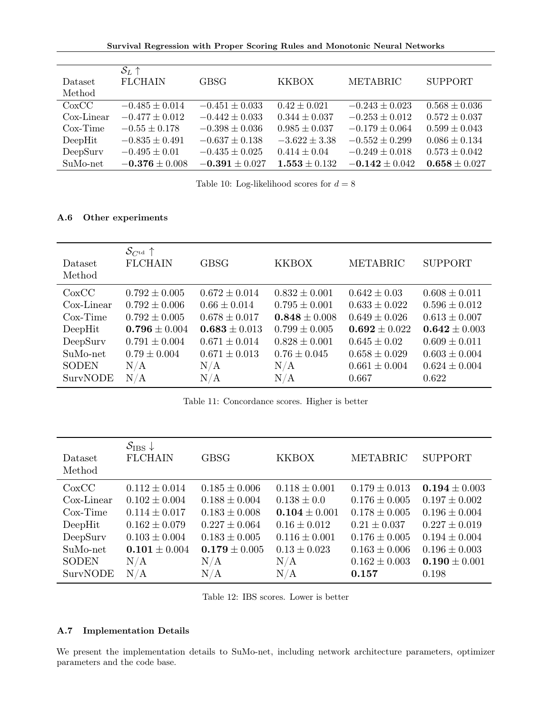Survival Regression with Proper Scoring Rules and Monotonic Neural Networks

| Dataset       | $S_L$ $\uparrow$<br><b>FLCHAIN</b> | <b>GBSG</b>        | <b>KKBOX</b>      | METABRIC           | <b>SUPPORT</b>    |
|---------------|------------------------------------|--------------------|-------------------|--------------------|-------------------|
| Method        |                                    |                    |                   |                    |                   |
| CoxCC         | $-0.485 \pm 0.014$                 | $-0.451 \pm 0.033$ | $0.42 \pm 0.021$  | $-0.243 \pm 0.023$ | $0.568 \pm 0.036$ |
| $Cox$ -Linear | $-0.477 \pm 0.012$                 | $-0.442 \pm 0.033$ | $0.344 \pm 0.037$ | $-0.253 \pm 0.012$ | $0.572 \pm 0.037$ |
| $Cox-Time$    | $-0.55 \pm 0.178$                  | $-0.398 \pm 0.036$ | $0.985 \pm 0.037$ | $-0.179 \pm 0.064$ | $0.599 \pm 0.043$ |
| DeepHit       | $-0.835 \pm 0.491$                 | $-0.637 \pm 0.138$ | $-3.622 \pm 3.38$ | $-0.552 \pm 0.299$ | $0.086 \pm 0.134$ |
| DeepSurv      | $-0.495 \pm 0.01$                  | $-0.435 \pm 0.025$ | $0.414 \pm 0.04$  | $-0.249 \pm 0.018$ | $0.573 \pm 0.042$ |
| SuMo-net      | $-0.376 \pm 0.008$                 | $-0.391 \pm 0.027$ | $1.553 \pm 0.132$ | $-0.142 \pm 0.042$ | $0.658 \pm 0.027$ |

Table 10: Log-likelihood scores for  $d=8$ 

# A.6 Other experiments

| Dataset<br>Method | $\mathcal{S}_{C^{\text{td}}} \uparrow$<br><b>FLCHAIN</b> | <b>GBSG</b>       | <b>KKBOX</b>      | <b>METABRIC</b>   | <b>SUPPORT</b>    |
|-------------------|----------------------------------------------------------|-------------------|-------------------|-------------------|-------------------|
| CoxCC             | $0.792 \pm 0.005$                                        | $0.672 \pm 0.014$ | $0.832 \pm 0.001$ | $0.642 \pm 0.03$  | $0.608 \pm 0.011$ |
| Cox-Linear        | $0.792 \pm 0.006$                                        | $0.66 \pm 0.014$  | $0.795 \pm 0.001$ | $0.633 \pm 0.022$ | $0.596 \pm 0.012$ |
| $Cox-Time$        | $0.792 \pm 0.005$                                        | $0.678 \pm 0.017$ | $0.848 \pm 0.008$ | $0.649 \pm 0.026$ | $0.613 \pm 0.007$ |
| DeepHit           | $0.796 \pm 0.004$                                        | $0.683 \pm 0.013$ | $0.799 \pm 0.005$ | $0.692 \pm 0.022$ | $0.642 \pm 0.003$ |
| DeepSurv          | $0.791 \pm 0.004$                                        | $0.671 \pm 0.014$ | $0.828 \pm 0.001$ | $0.645 \pm 0.02$  | $0.609 \pm 0.011$ |
| SuMo-net          | $0.79 \pm 0.004$                                         | $0.671 \pm 0.013$ | $0.76 \pm 0.045$  | $0.658 \pm 0.029$ | $0.603 \pm 0.004$ |
| <b>SODEN</b>      | N/A                                                      | N/A               | N/A               | $0.661 \pm 0.004$ | $0.624 \pm 0.004$ |
| SurvNODE          | N/A                                                      | N/A               | N/A               | 0.667             | 0.622             |

Table 11: Concordance scores. Higher is better

| Dataset<br>Method | $\mathcal{S}_{\text{IBS}}\downarrow$<br><b>FLCHAIN</b> | <b>GBSG</b>       | <b>KKBOX</b>      | <b>METABRIC</b>   | <b>SUPPORT</b>    |
|-------------------|--------------------------------------------------------|-------------------|-------------------|-------------------|-------------------|
| CoxCC             | $0.112 \pm 0.014$                                      | $0.185 \pm 0.006$ | $0.118 \pm 0.001$ | $0.179 \pm 0.013$ | $0.194 \pm 0.003$ |
| Cox-Linear        | $0.102 \pm 0.004$                                      | $0.188 \pm 0.004$ | $0.138 \pm 0.0$   | $0.176 \pm 0.005$ | $0.197 \pm 0.002$ |
| $\cos$ -Time      | $0.114 \pm 0.017$                                      | $0.183 \pm 0.008$ | $0.104 \pm 0.001$ | $0.178 \pm 0.005$ | $0.196 \pm 0.004$ |
| DeepHit           | $0.162 \pm 0.079$                                      | $0.227 \pm 0.064$ | $0.16 \pm 0.012$  | $0.21 \pm 0.037$  | $0.227 \pm 0.019$ |
| DeepSurv          | $0.103 \pm 0.004$                                      | $0.183 \pm 0.005$ | $0.116 \pm 0.001$ | $0.176 \pm 0.005$ | $0.194 \pm 0.004$ |
| SuMo-net          | $0.101 \pm 0.004$                                      | $0.179 \pm 0.005$ | $0.13 \pm 0.023$  | $0.163 \pm 0.006$ | $0.196 \pm 0.003$ |
| <b>SODEN</b>      | N/A                                                    | N/A               | N/A               | $0.162 \pm 0.003$ | $0.190 \pm 0.001$ |
| <b>SurvNODE</b>   | N/A                                                    | N/A               | $\rm N/A$         | 0.157             | 0.198             |

Table 12: IBS scores. Lower is better

### A.7 Implementation Details

We present the implementation details to SuMo-net, including network architecture parameters, optimizer parameters and the code base.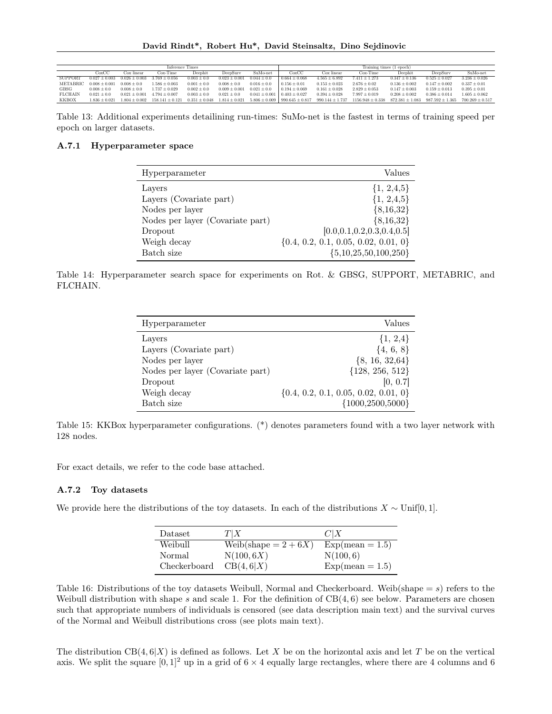| Inference Times |                   |                   |                     | Training times (1 epoch) |                   |                   |                                                           |                     |                      |                   |                                         |                   |
|-----------------|-------------------|-------------------|---------------------|--------------------------|-------------------|-------------------|-----------------------------------------------------------|---------------------|----------------------|-------------------|-----------------------------------------|-------------------|
|                 | $\cos CC$         | Cox linear        | $Cox-Time$          | Deephit                  | DeepSurv          | SuMo-net          | CoxCC                                                     | Cox linear          | $Cox-Time$           | Deephit           | DeepSurv                                | SuMo-net          |
| SUPPORT         | $0.027 \pm 0.003$ | $0.026 \pm 0.003$ | $3.769 \pm 0.056$   | $0.003 \pm 0.0$          | $0.023 \pm 0.001$ | $0.044 \pm 0.0$   | $0.664 \pm 0.068$                                         | $4.565 \pm 6.892$   | $7.411 \pm 1.273$    | $0.347 \pm 0.136$ | $0.525 \pm 0.027$                       | $3.236 \pm 0.026$ |
| METABRIC        | $0.008 + 0.001$   | $0.008 + 0.0$     | $1.586 \pm 0.003$   | $0.001 \pm 0.0$          | $0.008 \pm 0.0$   | $0.016 \pm 0.0$   | $0.156 \pm 0.01$                                          | $0.153 \pm 0.023$   | $2.676 \pm 0.02$     | $0.136 \pm 0.002$ | $0.147 \pm 0.002$                       | $0.337 \pm 0.01$  |
| GBSG            | $0.008 \pm 0.0$   | $0.008 \pm 0.0$   | $1.737 \pm 0.029$   | $0.002 \pm 0.0$          | $0.009 \pm 0.001$ | $0.021 \pm 0.0$   | $0.194 \pm 0.069$                                         | $0.161 \pm 0.028$   | $2.829 \pm 0.053$    | $0.147 \pm 0.003$ | $0.159 \pm 0.013$                       | $0.395 \pm 0.01$  |
| <b>FLCHAIN</b>  | $0.021 \pm 0.0$   | $0.021 + 0.001$   | $1.794 \pm 0.007$   | $0.003 \pm 0.0$          | $0.021 \pm 0.0$   | $0.041 \pm 0.001$ | $0.403 \pm 0.027$                                         | $0.394 \pm 0.028$   | $7.997 \pm 0.019$    | $0.208 \pm 0.002$ | $0.386 + 0.014$                         | $1.605 \pm 0.062$ |
| <b>KKBOX</b>    | $1.836 + 0.021$   | $1.804 + 0.002$   | $158.141 \pm 0.121$ | $0.351 \pm 0.048$        |                   |                   | $1.814 \pm 0.021$ $5.806 \pm 0.009$   990.645 $\pm$ 0.817 | $990.144 \pm 1.737$ | $1156.948 \pm 0.338$ |                   | $872.381 \pm 1.083$ $987.592 \pm 1.365$ | $700.269 + 0.517$ |

Table 13: Additional experiments detailining run-times: SuMo-net is the fastest in terms of training speed per epoch on larger datasets.

### A.7.1 Hyperparameter space

| Hyperparameter                   | Values                                   |
|----------------------------------|------------------------------------------|
| Layers                           | $\{1, 2, 4, 5\}$                         |
| Layers (Covariate part)          | $\{1, 2, 4, 5\}$                         |
| Nodes per layer                  | ${8,16,32}$                              |
| Nodes per layer (Covariate part) | ${8,16,32}$                              |
| Dropout                          | [0.0, 0.1, 0.2, 0.3, 0.4, 0.5]           |
| Weigh decay                      | $\{0.4, 0.2, 0.1, 0.05, 0.02, 0.01, 0\}$ |
| Batch size                       | ${5,10,25,50,100,250}$                   |

Table 14: Hyperparameter search space for experiments on Rot. & GBSG, SUPPORT, METABRIC, and FLCHAIN.

| Hyperparameter                   | Values                                   |
|----------------------------------|------------------------------------------|
| Layers                           | $\{1, 2, 4\}$                            |
| Layers (Covariate part)          | $\{4, 6, 8\}$                            |
| Nodes per layer                  | ${8, 16, 32,64}$                         |
| Nodes per layer (Covariate part) | ${128, 256, 512}$                        |
| Dropout                          | [0, 0.7]                                 |
| Weigh decay                      | $\{0.4, 0.2, 0.1, 0.05, 0.02, 0.01, 0\}$ |
| Batch size                       | ${1000, 2500, 5000}$                     |

Table 15: KKBox hyperparameter configurations. (\*) denotes parameters found with a two layer network with 128 nodes.

For exact details, we refer to the code base attached.

### A.7.2 Toy datasets

We provide here the distributions of the toy datasets. In each of the distributions  $X \sim \text{Unif}[0, 1]$ .

| Dataset      | T X                     | C X               |
|--------------|-------------------------|-------------------|
| Weibull      | Weib(shape = $2 + 6X$ ) | $Exp-mean = 1.5$  |
| Normal       | N(100, 6X)              | N(100,6)          |
| Checkerboard | CB(4,6 X)               | $Exp(mean = 1.5)$ |

Table 16: Distributions of the toy datasets Weibull, Normal and Checkerboard. Weib(shape  $= s$ ) refers to the Weibull distribution with shape s and scale 1. For the definition of  $CB(4, 6)$  see below. Parameters are chosen such that appropriate numbers of individuals is censored (see data description main text) and the survival curves of the Normal and Weibull distributions cross (see plots main text).

The distribution  $CB(4, 6|X)$  is defined as follows. Let X be on the horizontal axis and let T be on the vertical axis. We split the square  $[0, 1]^2$  up in a grid of  $6 \times 4$  equally large rectangles, where there are 4 columns and 6